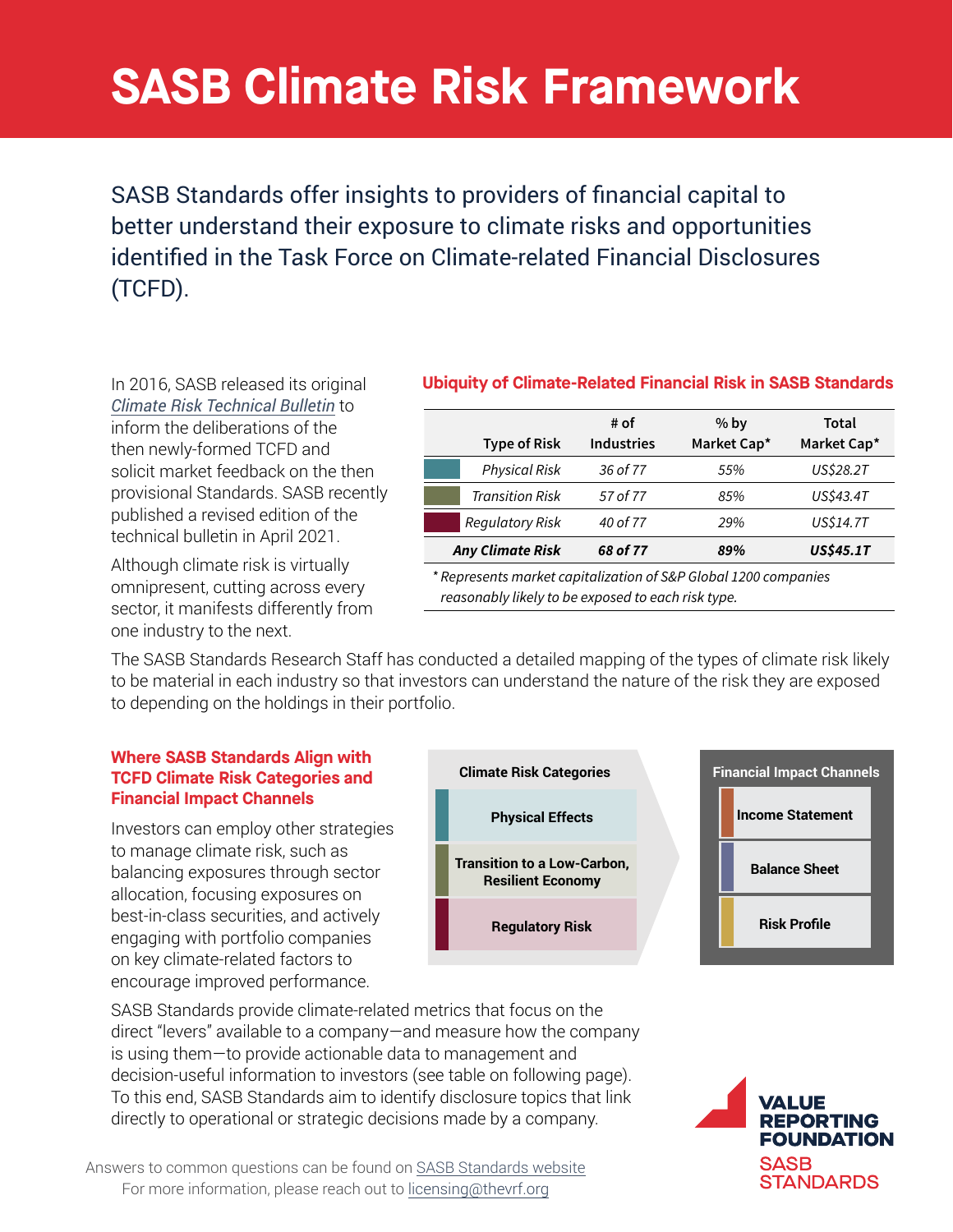# **SASB Climate Risk Framework** for integration into investment decisions.

 $T$  identified in the Task F exist within—rather than apart from—its natural systems. For (TCFD). better understand their exposure to climate risks and opportunities landscape; and the challenge of navigating the transition to a resilidentified in the Task Force on Climate-related Financial Disclosures SASB Standards offer insights to providers of financial capital to

In 2016, SASB released its original [Climate Risk Technical Bulletin](https://www.sasb.org/knowledge-hub/climate-risk-technical-bulletin/) to inform the deliberations of the then newly-formed TCFD and solicit market feedback on the then provisional Standards. SASB recently published a revised edition of the technical bulletin in April 2021.

Although climate risk is virtually omnipresent, cutting across every sector, it manifests differently from one industry to the next.

## Figure 1. Ubiquity of Climate-Related Financial Risk **Ubiquity of Climate-Related Financial Risk in SASB Standards**

| # of              | $%$ by      | Total       |
|-------------------|-------------|-------------|
| <b>Industries</b> | Market Cap* | Market Cap* |
| 36 of 77          | 55%         | US\$28.2T   |
| 57 of 77          | 85%         | US\$43.4T   |
| 40 of 77          | 29%         | US\$14.7T   |
| 68 of 77          | 89%         | US\$45.1T   |
|                   |             |             |

\* Represents market capitalization of S&P Global 1200 companies reasonably likely to be exposed to each risk type.

The SASB Standards Research Staff has conducted a detailed mapping of the types of climate risk likely to be material in each industry so that investors can understand the nature of the risk they are exposed to depending on the holdings in their portfolio. efforts to more effectively manage and communicate about composed  $r_{\rm r}$  is present sa comprehensive view of where  $r_{\rm r}$  is present a comprehensive view of where  $r_{\rm r}$ 

### **Where SASB Standards Align with TCFD Climate Risk Categories and Financial Impact Channels**

Investors can employ other strategies to manage climate risk, such as balancing exposures through sector palanonig exposures iniciagn essee ansulation, resuming dispersive on the increasing frequency of the increasing the increasing the increasing the increasing the increasing the increasing the increasing the increasing the increasing the increasing the incre engaging with portfolio companies engaging with portions companies encourage improved performance. Un key cilinate-related factors to



SASB Standards provide climate-related metrics that focus on the direct "levers" available to a company—and measure how the company is using them—to provide actionable data to management and decision-useful information to investors (see table on following page). To this end, SASB Standards aim to identify disclosure topics that link directly to operational or strategic decisions made by a company.

Answers to common questions can be found on [SASB Standards website](https://www.sasb.org/licensing-use/esg-integration/) For more information, please reach out to licensing@thevrf.org